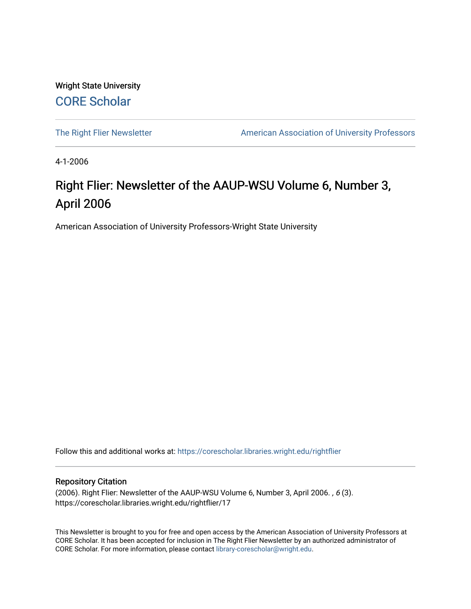Wright State University [CORE Scholar](https://corescholar.libraries.wright.edu/)

[The Right Flier Newsletter](https://corescholar.libraries.wright.edu/rightflier) **American Association of University Professors** 

4-1-2006

# Right Flier: Newsletter of the AAUP-WSU Volume 6, Number 3, April 2006

American Association of University Professors-Wright State University

Follow this and additional works at: [https://corescholar.libraries.wright.edu/rightflier](https://corescholar.libraries.wright.edu/rightflier?utm_source=corescholar.libraries.wright.edu%2Frightflier%2F17&utm_medium=PDF&utm_campaign=PDFCoverPages) 

#### Repository Citation

(2006). Right Flier: Newsletter of the AAUP-WSU Volume 6, Number 3, April 2006. , 6 (3). https://corescholar.libraries.wright.edu/rightflier/17

This Newsletter is brought to you for free and open access by the American Association of University Professors at CORE Scholar. It has been accepted for inclusion in The Right Flier Newsletter by an authorized administrator of CORE Scholar. For more information, please contact [library-corescholar@wright.edu](mailto:library-corescholar@wright.edu).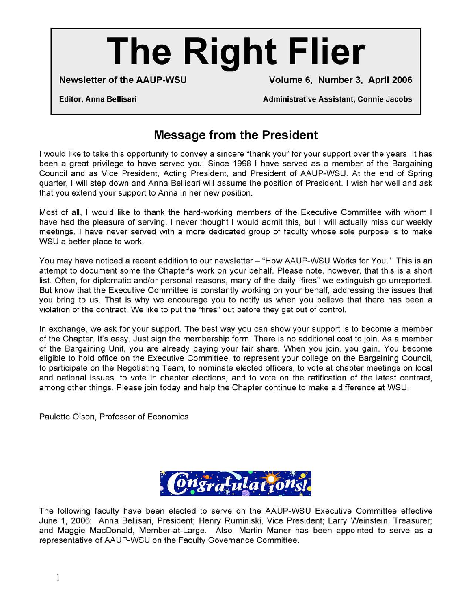# **The Right Flier**

**Newsletter of the AAUP-WSU Volume 6, Number 3, April 2006** 

**Editor, Anna Bellisari Administrative Assistant, Connie Jacobs** 

# **Message from the President**

I would like to take this opportunity to convey a sincere "thank you" for your support over the years. It has been a great privilege to have served you. Since 1998 I have served as a member of the Bargaining Council and as Vice President, Acting President, and President of AAUP-WSU. At the end of Spring quarter, I will step down and Anna Bellisari will assume the position of President. I wish her well and ask that you extend your support to Anna in her new position.

Most of all, I would like to thank the hard-working members of the Executive Committee with whom I have had the pleasure of serving. I never thought I would admit this, but I will actually miss our weekly meetings. I have never served with a more dedicated group of faculty whose sole purpose is to make WSU a better place to work.

You may have noticed a recent addition to our newsletter - "How AAUP-WSU Works for You." This is an attempt to document some the Chapter's work on your behalf. Please note, however, that this is a short list. Often, for diplomatic and/or personal reasons, many of the daily "fires" we extinguish go unreported. But know that the Executive Committee is constantly working on your behalf, addressing the issues that you bring to us. That is why we encourage you to notify us when you believe that there has been a violation of the contract. We like to put the "fires" out before they get out of control.

In exchange, we ask for your support. The best way you can show your support is to become a member of the Chapter. It's easy. Just sign the membership form. There is no additional cost to join. As a member of the Bargaining Unit, you are already paying your fair share. When you join, you gain. You become eligible to hold office on the Executive Committee, to represent your college on the Bargaining Council, to participate on the Negotiating Team, to nominate elected officers, to vote at chapter meetings on local and national issues, to vote in chapter elections, and to vote on the ratification of the latest contract, among other things. Please join today and help the Chapter continue to make a difference at WSU.

Paulette Olson, Professor of Economics



The following faculty have been elected to serve on the AAUP-WSU Executive Committee effective June 1, 2006: Anna Bellisari, President; Henry Ruminiski, Vice President; Larry Weinstein, Treasurer; and Maggie MacDonald, Member-at-Large. Also, Martin Maner has been appointed to serve as a representative of AAUP-WSU on the Faculty Governance Committee.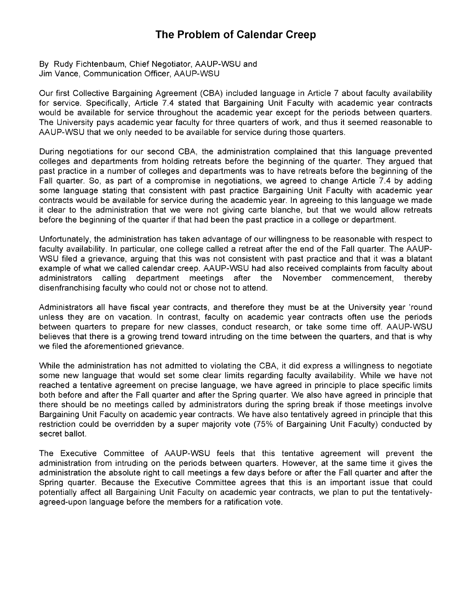#### **The Problem of Calendar Creep**

By Rudy Fichtenbaum, Chief Negotiator, AAUP-WSU and Jim Vance, Communication Officer, AAUP-WSU

Our first Collective Bargaining Agreement (CBA) included language in Article 7 about faculty availability for service. Specifically, Article 7.4 stated that Bargaining Unit Faculty with academic year contracts would be available for service throughout the academic year except for the periods between quarters. The University pays academic year faculty for three quarters of work, and thus it seemed reasonable to AAUP-WSU that we only needed to be available for service during those quarters.

During negotiations for our second CBA, the administration complained that this language prevented colleges and departments from holding retreats before the beginning of the quarter. They argued that past practice in a number of colleges and departments was to have retreats before the beginning of the Fall quarter. So, as part of a compromise in negotiations, we agreed to change Article 7.4 by adding some language stating that consistent with past practice Bargaining Unit Faculty with academic year contracts would be available for service during the academic year. In agreeing to this language we made it clear to the administration that we were not giving carte blanche, but that we would allow retreats before the beginning of the quarter if that had been the past practice in a college or department.

Unfortunately, the administration has taken advantage of our willingness to be reasonable with respect to faculty availability. In particular, one college called a retreat after the end of the Fall quarter. The AAUP-WSU filed a grievance, arguing that this was not consistent with past practice and that it was a blatant example of what we called calendar creep. AAUP-WSU had also received complaints from faculty about administrators calling department meetings after the November commencement, thereby disenfranchising faculty who could not or chose not to attend.

Administrators all have fiscal year contracts, and therefore they must be at the University year 'round unless they are on vacation. In contrast, faculty on academic year contracts often use the periods between quarters to prepare for new classes, conduct research, or take some time off. AAUP-WSU believes that there is a growing trend toward intruding on the time between the quarters, and that is why we filed the aforementioned grievance.

While the administration has not admitted to violating the CBA, it did express a willingness to negotiate some new language that would set some clear limits regarding faculty availability. While we have not reached a tentative agreement on precise language, we have agreed in principle to place specific limits both before and after the Fall quarter and after the Spring quarter. We also have agreed in principle that there should be no meetings called by administrators during the spring break if those meetings involve Bargaining Unit Faculty on academic year contracts. We have also tentatively agreed in principle that this restriction could be overridden by a super majority vote (75% of Bargaining Unit Faculty) conducted by secret ballot.

The Executive Committee of AAUP-WSU feels that this tentative agreement will prevent the administration from intruding on the periods between quarters. However, at the same time it gives the administration the absolute right to call meetings a few days before or after the Fall quarter and after the Spring quarter. Because the Executive Committee agrees that this is an important issue that could potentially affect all Bargaining Unit Faculty on academic year contracts, we plan to put the tentativelyagreed-upon language before the members for a ratification vote.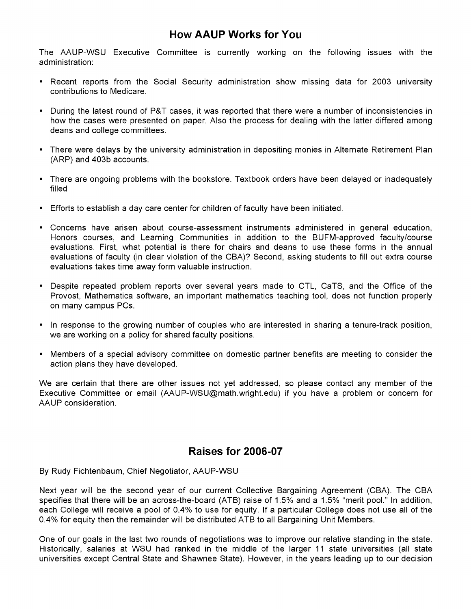#### **How AAUP Works** for You

The AAUP-WSU Executive Committee is currently working on the following issues with the administration:

- Recent reports from the Social Security administration show missing data for 2003 university contributions to Medicare.
- During the latest round of P&T cases, it was reported that there were a number of inconsistencies in how the cases were presented on paper. Also the process for dealing with the latter differed among deans and college committees.
- There were delays by the university administration in depositing monies in Alternate Retirement Plan (ARP) and 403b accounts.
- There are ongoing problems with the bookstore. Textbook orders have been delayed or inadequately filled
- Efforts to establish a day care center for children of faculty have been initiated.
- Concerns have arisen about course-assessment instruments administered in general education, Honors courses, and Learning Communities in addition to the BUFM-approved faculty/course evaluations. First, what potential is there for chairs and deans to use these forms in the annual evaluations of faculty (in clear violation of the CBA)? Second, asking students to fill out extra course evaluations takes time away form valuable instruction.
- Despite repeated problem reports over several years made to CTL, CaTS, and the Office of the Provost, Mathematica software, an important mathematics teaching tool, does not function properly on many campus PCs.
- In response to the growing number of couples who are interested in sharing a tenure-track position, we are working on a policy for shared faculty positions.
- Members of a special advisory committee on domestic partner benefits are meeting to consider the action plans they have developed.

We are certain that there are other issues not yet addressed, so please contact any member of the Executive Committee or email (AAUP-WSU@math.wright.edu) if you have a problem or concern for AAUP consideration.

#### **Raises for 2006-07**

By Rudy Fichtenbaum, Chief Negotiator, AAUP-WSU

Next year will be the second year of our current Collective Bargaining Agreement (CBA). The CBA specifies that there will be an across-the-board (ATB) raise of 1.5% and a 1.5% "merit pool." In addition, each College will receive a pool of 0.4% to use for equity. If a particular College does not use all of the 0.4% for equity then the remainder will be distributed ATB to all Bargaining Unit Members.

One of our goals in the last two rounds of negotiations was to improve our relative standing in the state. Historically, salaries at WSU had ranked in the middle of the larger 11 state universities (all state universities except Central State and Shawnee State). However, in the years leading up to our decision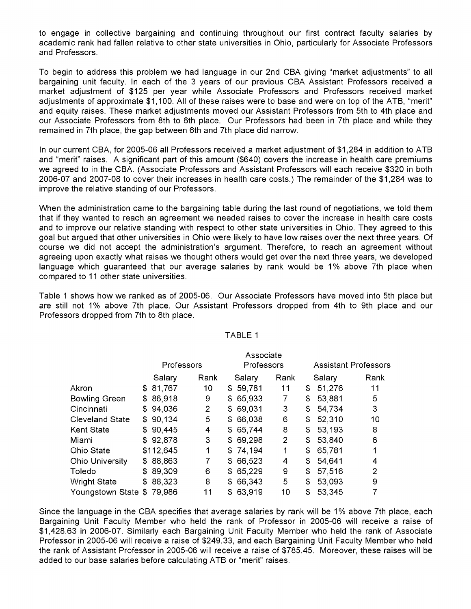to engage in collective bargaining and continuing throughout our first contract faculty salaries by academic rank had fallen relative to other state universities in Ohio, particularly for Associate Professors and Professors.

To begin to address this problem we had language in our 2nd CBA giving "market adjustments" to all bargaining unit faculty. In each of the 3 years of our previous CBA Assistant Professors received a market adjustment of \$125 per year while Associate Professors and Professors received market adjustments of approximate \$1,100. All of these raises were to base and were on top of the ATB, "merit" and equity raises. These market adjustments moved our Assistant Professors from 5th to 4th place and our Associate Professors from 8th to 6th place. Our Professors had been in 7th place and while they remained in 7th place, the gap between 6th and 7th place did narrow.

In our current CBA, for 2005-06 all Professors received a market adjustment of \$1,284 in addition to ATB and "merit" raises. A significant part of this amount (\$640) covers the increase in health care premiums we agreed to in the CBA. (Associate Professors and Assistant Professors will each receive \$320 in both 2006-07 and 2007-08 to cover their increases in health care costs.) The remainder of the \$1,284 was to improve the relative standing of our Professors.

When the administration came to the bargaining table during the last round of negotiations, we told them that if they wanted to reach an agreement we needed raises to cover the increase in health care costs and to improve our relative standing with respect to other state universities in Ohio. They agreed to this goal but argued that other universities in Ohio were likely to have low raises over the next three years. Of course we did not accept the administration's argument. Therefore, to reach an agreement without agreeing upon exactly what raises we thought others would get over the next three years, we developed language which guaranteed that our average salaries by rank would be 1% above 7th place when compared to 11 other state universities.

Table 1 shows how we ranked as of 2005-06. Our Associate Professors have moved into 5th place but are still not 1% above 7th place. Our Assistant Professors dropped from 4th to 9th place and our Professors dropped from 7th to 8th place.

|                        | Associate  |           |  |          |            |          |  |                |    |                             |      |  |
|------------------------|------------|-----------|--|----------|------------|----------|--|----------------|----|-----------------------------|------|--|
|                        | Professors |           |  |          | Professors |          |  |                |    | <b>Assistant Professors</b> |      |  |
|                        |            | Salary    |  | Rank     |            | Salary   |  | Rank           |    | Salary                      | Rank |  |
| Akron                  | \$         | 81,767    |  | 10       |            | \$59,781 |  | 11             | \$ | 51,276                      | 11   |  |
| <b>Bowling Green</b>   | \$         | 86,918    |  | 9        | \$         | 65,933   |  | 7              | \$ | 53,881                      | 5    |  |
| Cincinnati             |            | \$94,036  |  | 2        | \$         | 69,031   |  | 3              | \$ | 54,734                      | 3    |  |
| <b>Cleveland State</b> | \$         | 90,134    |  | 5<br>\$  |            | 66,038   |  | 6              | \$ | 52,310                      | 10   |  |
| Kent State             |            | \$90,445  |  | 4        |            | \$65,744 |  | 8              | \$ | 53,193                      | 8    |  |
| Miami                  |            | \$92,878  |  | 3        | SS.        | 69,298   |  | $\overline{2}$ | \$ | 53,840                      | 6    |  |
| Ohio State             |            | \$112,645 |  | 1        |            | \$74,194 |  | 1              | \$ | 65,781                      | 1    |  |
| <b>Ohio University</b> | \$         | 88,863    |  | 7        | \$         | 66,523   |  | 4              | \$ | 54,641                      | 4    |  |
| Toledo                 | \$         | 89,309    |  | 6<br>S.  |            | 65,229   |  | 9              | \$ | 57,516                      | 2    |  |
| <b>Wright State</b>    | \$         | 88,323    |  | 8<br>S.  |            | 66,343   |  | 5              | \$ | 53,093                      | 9    |  |
| Youngstown State       | \$         | 79,986    |  | 11<br>\$ |            | 63,919   |  | 10             | \$ | 53,345                      |      |  |

#### TABLE 1

Since the language in the CBA specifies that average salaries by rank will be 1% above 7th place, each Bargaining Unit Faculty Member who held the rank of Professor in 2005-06 will receive a raise of \$1,428.63 in 2006-07. Similarly each Bargaining Unit Faculty Member who held the rank of Associate Professor in 2005-06 will receive a raise of \$249.33, and each Bargaining Unit Faculty Member who held the rank of Assistant Professor in 2005-06 will receive a raise of \$785.45. Moreover, these raises will be added to our base salaries before calculating ATB or "merit" raises.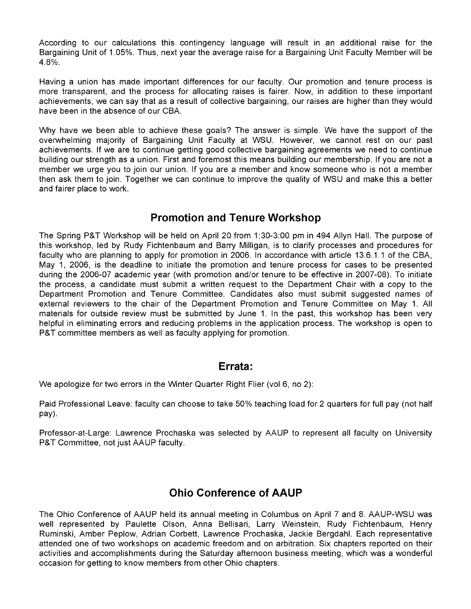According to our calculations this contingency language will result in an additional raise for the Bargaining Unit of 1.05%. Thus, next year the average raise for a Bargaining Unit Faculty Member will be 4.8%.

Having a union has made important differences for our faculty. Our promotion and tenure process is more transparent, and the process for allocating raises is fairer. Now, in addition to these important achievements, we can say that as a result of collective bargaining, our raises are higher than they would have been in the absence of our CBA.

Why have we been able to achieve these goals? The answer is simple. We have the support of the overwhelming majority of Bargaining Unit Faculty at WSU. However, we cannot rest on our past achievements. If we are to continue getting good collective bargaining agreements we need to continue building our strength as a union. First and foremost this means building our membership. If you are not a member we urge you to join our union. If you are a member and know someone who is not a member then ask them to join. Together we can continue to improve the quality of WSU and make this a better and fairer place to work.

#### **Promotion and Tenure Workshop**

The Spring P&T Workshop will be held on April 20 from 1:30-3:00 pm in 494 Allyn Hall. The purpose of this workshop, led by Rudy Fichtenbaum and Barry Milligan, is to clarify processes and procedures for faculty who are planning to apply for promotion in 2006. In accordance with article 13.6.1.1 of the CBA, May 1, 2006, is the deadline to initiate the promotion and tenure process for cases to be presented during the 2006-07 academic year (with promotion and/or tenure to be effective in 2007-08). To initiate the process, a candidate must submit a written request to the Department Chair with a copy to the Department Promotion and Tenure Committee. Candidates also must submit suggested names of external reviewers to the chair of the Department Promotion and Tenure Committee on May 1. All materials for outside review must be submitted by June 1. In the past, this workshop has been very helpful in eliminating errors and reducing problems in the application process. The workshop is open to P&T committee members as well as faculty applying for promotion.

#### **Errata:**

We apologize for two errors in the Winter Quarter Right Flier (vol 6, no 2):

Paid Professional Leave: faculty can choose to take 50% teaching load for 2 quarters for full pay (not half pay).

Professor-at-Large: Lawrence Prochaska was selected by AAUP to represent all faculty on University P&T Committee, not just AAUP faculty.

## **Ohio Conference of AAUP**

The Ohio Conference of AAUP held its annual meeting in Columbus on April 7 and 8. AAUP-WSU was well represented by Paulette Olson, Anna Bellisari, Larry Weinstein, Rudy Fichtenbaum, Henry Ruminski, Amber Peplow, Adrian Corbett, Lawrence Prochaska, Jackie Bergdahl. Each representative attended one of two workshops on academic freedom and on arbitration. Six chapters reported on their activities and accomplishments during the Saturday afternoon business meeting, which was a wonderful occasion for getting to know members from other Ohio chapters.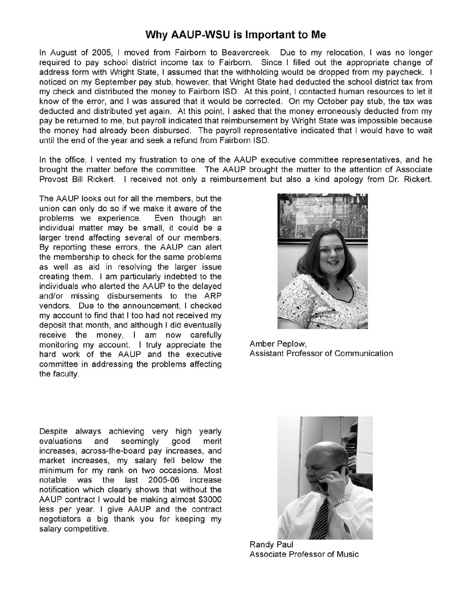#### **Why AAUP-WSU is Important to Me**

address form with Wright State, I assumed that the withholding would be dropped from my paycheck. I In August of 2005, I moved from Fairborn to Beavercreek. Due to my relocation, I was no longer required to pay school district income tax to Fairborn. Since I filled out the appropriate change of noticed on my September pay stub, however, that Wright State had deducted the school district tax from my check and distributed the money to Fairborn ISO. At this point, I contacted human resources to let it know of the error, and I was assured that it would be corrected. On my October pay stub, the tax was deducted and distributed yet again. At this point, I asked that the money erroneously deducted from my pay be returned to me, but payroll indicated that reimbursement by Wright State was impossible because the money had already been disbursed. The payroll representative indicated that I would have to wait until the end of the year and seek a refund from Fairborn ISO.

In the office, I vented my frustration to one of the AAUP executive committee representatives, and he brought the matter before the committee. The AAUP brought the matter to the attention of Associate Provost Bill Rickert. I received not only a reimbursement but also a kind apology from Dr. Rickert.

The AAUP looks out for all the members, but the union can only do so if we make it aware of the problems we experience. Even though an individual matter may be small, it could be a larger trend affecting several of our members. By reporting these errors, the AAUP can alert the membership to check for the same problems as well as aid in resolving the larger issue creating them. I am particularly indebted to the individuals who alerted the AAUP to the delayed and/or missing disbursements to the ARP vendors. Due to the announcement, I checked my account to find that I too had not received my deposit that month, and although I did eventually receive the money, I am now carefully monitoring my account. I truly appreciate the Amber Peplow,<br>hard work of the AAUP and the executive Assistant Professor of Communication hard work of the AAUP and the executive committee in addressing the problems affecting the faculty.



Despite always achieving very high yearly evaluations and seemingly good merit increases, across-the-board pay increases, and market increases, my salary fell below the minimum for my rank on two occasions. Most notable was the last 2005-06 increase notification which clearly shows that without the AAUP contract I would be making almost \$3000 less per year. I give AAUP and the contract negotiators a big thank you for keeping my salary competitive.



Randy Paul Associate Professor of Music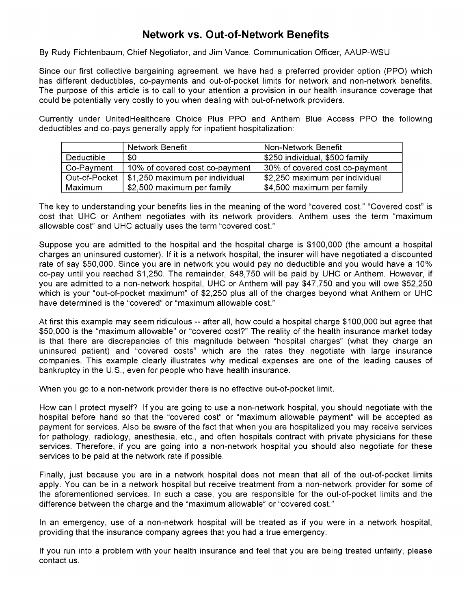## **Network vs. Out-of-Network Benefits**

By Rudy Fichtenbaum, Chief Negotiator, and Jim Vance, Communication Officer, AAUP-WSU

Since our first collective bargaining agreement, we have had a preferred provider option (PPO) which has different deductibles, co-payments and out-of-pocket limits for network and non-network benefits. The purpose of this article is to call to your attention a provision in our health insurance coverage that could be potentially very costly to you when dealing with out-of-network providers.

Currently under UnitedHealthcare Choice Plus PPO and Anthem Blue Access PPO the following deductibles and co-pays generally apply for inpatient hospitalization:

|               | Network Benefit                | Non-Network Benefit            |
|---------------|--------------------------------|--------------------------------|
| Deductible    | \$0                            | \$250 individual, \$500 family |
| Co-Payment    | 10% of covered cost co-payment | 30% of covered cost co-payment |
| Out-of-Pocket | \$1,250 maximum per individual | \$2,250 maximum per individual |
| Maximum       | \$2,500 maximum per family     | \$4,500 maximum per family     |

The key to understanding your benefits lies in the meaning of the word "covered cost." "Covered cost" is cost that UHC or Anthem negotiates with its network providers. Anthem uses the term "maximum allowable cost" and UHC actually uses the term "covered cost."

Suppose you are admitted to the hospital and the hospital charge is \$100,000 (the amount a hospital charges an uninsured customer). If it is a network hospital, the insurer will have negotiated a discounted rate of say \$50,000. Since you are in network you would pay no deductible and you would have a 10% co-pay until you reached \$1,250. The remainder, \$48,750 will be paid by UHC or Anthem. However, if you are admitted to a non-network hospital, UHC or Anthem will pay \$47,750 and you will owe \$52,250 which is your "out-of-pocket maximum" of \$2,250 plus all of the charges beyond what Anthem or UHC have determined is the "covered" or "maximum allowable cost."

At first this example may seem ridiculous -- after all, how could a hospital charge \$100,000 but agree that \$50,000 is the "maximum allowable" or "covered cost?" The reality of the health insurance market today is that there are discrepancies of this magnitude between "hospital charges" (what they charge an uninsured patient) and "covered costs" which are the rates they negotiate with large insurance companies. This example clearly illustrates why medical expenses are one of the leading causes of bankruptcy in the U.S., even for people who have health insurance.

When you go to a non-network provider there is no effective out-of-pocket limit.

How can I protect myself? If you are going to use a non-network hospital, you should negotiate with the hospital before hand so that the "covered cost" or "maximum allowable payment" will be accepted as payment for services. Also be aware of the fact that when you are hospitalized you may receive services for pathology, radiology, anesthesia, etc., and often hospitals contract with private physicians for these services. Therefore, if you are going into a non-network hospital you should also negotiate for these services to be paid at the network rate if possible.

Finally, just because you are in a network hospital does not mean that all of the out-of-pocket limits apply. You can be in a network hospital but receive treatment from a non-network provider for some of the aforementioned services. In such a case, you are responsible for the out-of-pocket limits and the difference between the charge and the "maximum allowable" or "covered cost."

In an emergency, use of a non-network hospital will be treated as if you were in a network hospital, providing that the insurance company agrees that you had a true emergency.

If you run into a problem with your health insurance and feel that you are being treated unfairly, please contact us.